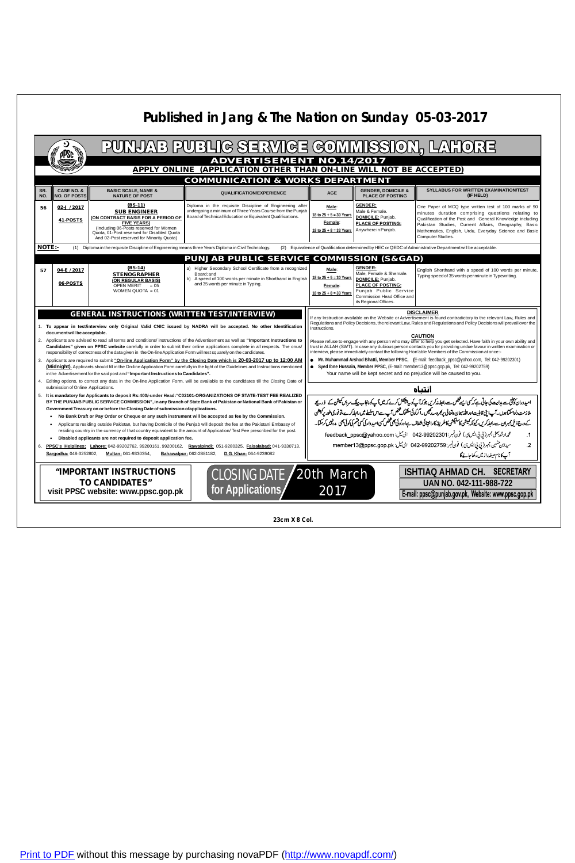[Print to PDF](http://www.novapdf.com/) without this message by purchasing novaPDF ([http://www.novapdf.com/\)](http://www.novapdf.com/)

| PUNJAB PUBLIG SERVIGE GOMMISSION, LAHORE<br>pPSc                                                                                                                                                                                                                                                                                                                                                                             |                                              |                                                                                                                                                                                                                                  |                                                                                                                                                                                                                                        |                                                                                                                                                              |                                                                                                                                                                                                                                                                                                                                                                |                                                                                                                                                                                                                                                                                                               |  |  |  |  |  |
|------------------------------------------------------------------------------------------------------------------------------------------------------------------------------------------------------------------------------------------------------------------------------------------------------------------------------------------------------------------------------------------------------------------------------|----------------------------------------------|----------------------------------------------------------------------------------------------------------------------------------------------------------------------------------------------------------------------------------|----------------------------------------------------------------------------------------------------------------------------------------------------------------------------------------------------------------------------------------|--------------------------------------------------------------------------------------------------------------------------------------------------------------|----------------------------------------------------------------------------------------------------------------------------------------------------------------------------------------------------------------------------------------------------------------------------------------------------------------------------------------------------------------|---------------------------------------------------------------------------------------------------------------------------------------------------------------------------------------------------------------------------------------------------------------------------------------------------------------|--|--|--|--|--|
| <b>ADVERTISEMENT NO.14/2017</b><br>APPLY ONLINE (APPLICATION OTHER THAN ON-LINE WILL NOT BE ACCEPTED)                                                                                                                                                                                                                                                                                                                        |                                              |                                                                                                                                                                                                                                  |                                                                                                                                                                                                                                        |                                                                                                                                                              |                                                                                                                                                                                                                                                                                                                                                                |                                                                                                                                                                                                                                                                                                               |  |  |  |  |  |
| <b>COMMUNICATION &amp; WORKS DEPARTMENT</b>                                                                                                                                                                                                                                                                                                                                                                                  |                                              |                                                                                                                                                                                                                                  |                                                                                                                                                                                                                                        |                                                                                                                                                              |                                                                                                                                                                                                                                                                                                                                                                |                                                                                                                                                                                                                                                                                                               |  |  |  |  |  |
| SR.<br>NO.                                                                                                                                                                                                                                                                                                                                                                                                                   | <b>CASE NO. &amp;</b><br><b>NO. OF POSTS</b> | <b>BASIC SCALE, NAME &amp;</b><br><b>NATURE OF POST</b>                                                                                                                                                                          | <b>QUALIFICATION/EXPERIENCE</b>                                                                                                                                                                                                        | <b>AGE</b>                                                                                                                                                   | <b>GENDER, DOMICILE &amp;</b><br><b>PLACE OF POSTING</b>                                                                                                                                                                                                                                                                                                       | <b>SYLLABUS FOR WRITTEN EXAMINATION/TEST</b><br>(IF HELD)                                                                                                                                                                                                                                                     |  |  |  |  |  |
| 56                                                                                                                                                                                                                                                                                                                                                                                                                           | $02 - J / 2017$<br>41-POSTS                  | $(BS-11)$<br><b>SUB ENGINEER</b><br>(ON CONTRACT BASIS FOR A PERIOD OF<br><b>FIVE YEARS)</b><br>(Including 06-Posts reserved for Women<br>Quota, 01-Post reserved for Disabled Quota<br>And 02-Post reserved for Minority Quota) | Diploma in the requisite Discipline of Engineering after<br>undergoing a minimum of Three Years Course from the Punjab<br>Board of Technical Education or Equivalent Qualifications.                                                   | Male:<br>18 to $25 + 5 = 30$ Years<br>Female:<br>18 to $25 + 8 = 33$ Years                                                                                   | <b>GENDER:</b><br>Male & Female.<br><b>DOMICILE:</b> Punjab.<br><b>PLACE OF POSTING:</b><br>Anywhere in Punjab.                                                                                                                                                                                                                                                | One Paper of MCQ type written test of 100 marks of 90<br>minutes duration comprising questions relating to<br>Qualification of the Post and General Knowledge including<br>Pakistan Studies, Current Affairs, Geography, Basic<br>Mathematics, English, Urdu, Everyday Science and Basic<br>Computer Studies. |  |  |  |  |  |
| <b>NOTE:-</b><br>(1) Diploma in the requisite Discipline of Engineering means three Years Diploma in Civil Technology.<br>(2) Equivalence of Qualification determined by HEC or QEDC of Administrative Department will be acceptable.                                                                                                                                                                                        |                                              |                                                                                                                                                                                                                                  |                                                                                                                                                                                                                                        |                                                                                                                                                              |                                                                                                                                                                                                                                                                                                                                                                |                                                                                                                                                                                                                                                                                                               |  |  |  |  |  |
|                                                                                                                                                                                                                                                                                                                                                                                                                              |                                              |                                                                                                                                                                                                                                  | <b>PUNJAB PUBLIC SERVICE COMMISSION (S&amp;GAD)</b>                                                                                                                                                                                    |                                                                                                                                                              |                                                                                                                                                                                                                                                                                                                                                                |                                                                                                                                                                                                                                                                                                               |  |  |  |  |  |
| 57                                                                                                                                                                                                                                                                                                                                                                                                                           | 04-E / 2017<br>06-POSTS                      | $(BS-14)$<br><b>STENOGRAPHER</b><br>(ON REGULAR BASIS)<br><b>OPEN MERIT</b><br>$= 0.5$<br>WOMEN QUOTA $= 01$                                                                                                                     | a) Higher Secondary School Certificate from a recognized<br>Board; and<br>b) A speed of 100 words per minute in Shorthand in English<br>and 35 words per minute in Typing.                                                             | Male:<br>18 to $25 + 5 = 30$ Years<br>Female:<br>$18$ to $25 + 8 = 33$ Years                                                                                 | <b>GENDER:</b><br>Male, Female & Shemale.<br><b>DOMICILE:</b> Punjab.<br><b>PLACE OF POSTING:</b><br>Punjab Public Service<br>Commission Head Office and<br>its Regional Offices.                                                                                                                                                                              | English Shorthand with a speed of 100 words per minute,<br>Typing speed of 35 words per minute in Typewriting.                                                                                                                                                                                                |  |  |  |  |  |
|                                                                                                                                                                                                                                                                                                                                                                                                                              |                                              | <b>GENERAL INSTRUCTIONS (WRITTEN TEST/INTERVIEW)</b>                                                                                                                                                                             |                                                                                                                                                                                                                                        | <b>DISCLAIMER</b><br>If any Instruction available on the Website or Advertisement is found contradictory to the relevant Law, Rules and                      |                                                                                                                                                                                                                                                                                                                                                                |                                                                                                                                                                                                                                                                                                               |  |  |  |  |  |
| 1. To appear in test/interview only Original Valid CNIC issued by NADRA will be accepted. No other Identification                                                                                                                                                                                                                                                                                                            |                                              |                                                                                                                                                                                                                                  |                                                                                                                                                                                                                                        |                                                                                                                                                              | Regulations and Policy Decisions, the relevant Law, Rules and Regulations and Policy Decisions will prevail over the<br>Instructions.                                                                                                                                                                                                                          |                                                                                                                                                                                                                                                                                                               |  |  |  |  |  |
| document will be acceptable.<br>2. Applicants are advised to read all terms and conditions/ instructions of the Advertisement as well as "Important Instructions to<br>Candidates" given on PPSC website carefully in order to submit their online applications complete in all respects. The onus/<br>responsibility of correctness of the data given in the On-line Application Form will rest squarely on the candidates. |                                              |                                                                                                                                                                                                                                  |                                                                                                                                                                                                                                        |                                                                                                                                                              | <b>CAUTION</b><br>Please refuse to engage with any person who may offer to help you get selected. Have faith in your own ability and<br>trust in ALLAH (SWT). In case any dubious person contacts you for providing undue favour in written examination or<br>interview, please immediately contact the following Hon'able Members of the Commission at once:- |                                                                                                                                                                                                                                                                                                               |  |  |  |  |  |
|                                                                                                                                                                                                                                                                                                                                                                                                                              |                                              |                                                                                                                                                                                                                                  | 3. Applicants are required to submit "On-line Application Form" by the Closing Date which is 20-03-2017 up to 12:00 AM                                                                                                                 | • Mr. Muhammad Arshad Bhatti, Member PPSC, (E-mail: feedback_ppsc@yahoo.com, Tel: 042-99202301)                                                              |                                                                                                                                                                                                                                                                                                                                                                |                                                                                                                                                                                                                                                                                                               |  |  |  |  |  |
|                                                                                                                                                                                                                                                                                                                                                                                                                              |                                              | in the Advertisement for the said post and "Important Instructions to Candidates".                                                                                                                                               | (Midnight). Applicants should fill in the On-line Application Form carefully in the light of the Guidelines and Instructions mentioned                                                                                                 | • Syed Ibne Hussain, Member PPSC, (E-mail: member13@ppsc.gop.pk, Tel: 042-99202759)<br>Your name will be kept secret and no prejudice will be caused to you. |                                                                                                                                                                                                                                                                                                                                                                |                                                                                                                                                                                                                                                                                                               |  |  |  |  |  |
| 4.                                                                                                                                                                                                                                                                                                                                                                                                                           | submission of Online Applications.           |                                                                                                                                                                                                                                  | Editing options, to correct any data in the On-line Application Form, will be available to the candidates till the Closing Date of                                                                                                     | انتياه                                                                                                                                                       |                                                                                                                                                                                                                                                                                                                                                                |                                                                                                                                                                                                                                                                                                               |  |  |  |  |  |
|                                                                                                                                                                                                                                                                                                                                                                                                                              |                                              |                                                                                                                                                                                                                                  | 5. It is mandatory for Applicants to deposit Rs:400/-under Head: "C02101-ORGANIZATIONS OF STATE-TEST FEE REALIZED<br>BY THE PUNJAB PUBLIC SERVICE COMMISSION", in any Branch of State Bank of Pakistan or National Bank of Pakistan or | امیدوران کوتختی سے ہدایت کی جاتی ہے کہ کی ایسے تحض سے رابطہ نہ کریں جو کہ آپ کو یہ پیش آپ کو پنجاب پلک سرو <i>ں کیمیش</i> کے ذریعے                           |                                                                                                                                                                                                                                                                                                                                                                |                                                                                                                                                                                                                                                                                                               |  |  |  |  |  |
|                                                                                                                                                                                                                                                                                                                                                                                                                              |                                              | Government Treasury on or before the Closing Date of submission of applications.                                                                                                                                                 |                                                                                                                                                                                                                                        | ملازمت دلواسکتا ہوں۔آپ اپنی قابلیت اوراللہ سان دنغالی <i>پر بھر دسہ دیکیں۔اگر کوئی م</i> شکوک محض آپ سے اس سلسلے میں رابط کرے،تو فوری طور پر کمیشن           |                                                                                                                                                                                                                                                                                                                                                                |                                                                                                                                                                                                                                                                                                               |  |  |  |  |  |
| No Bank Draft or Pay Order or Cheque or any such instrument will be accepted as fee by the Commission.<br>Applicants residing outside Pakistan, but having Domicile of the Punjab will deposit the fee at the Pakistani Embassy of                                                                                                                                                                                           |                                              |                                                                                                                                                                                                                                  |                                                                                                                                                                                                                                        |                                                                                                                                                              | کے درج ذیل ممبران سے رابط کریں، کیونکہ کیشن کاسکیشن کاطریقہ کارانتہائی شفاف ہےاورکوئی بھی محض کی امیدوار کی کسی گوئی میں کرمیں کہ رسما۔                                                                                                                                                                                                                        |                                                                                                                                                                                                                                                                                                               |  |  |  |  |  |
|                                                                                                                                                                                                                                                                                                                                                                                                                              |                                              |                                                                                                                                                                                                                                  | residing country in the currency of that country equivalent to the amount of Application/Test Fee prescribed for the post.                                                                                                             | محمدارشد بھٹی بمبر ( پی پی ایس سی) فون نمبر: 042-99202301 ای میل: feedback_ppsc@yahoo.com<br>$\cdot$ 1                                                       |                                                                                                                                                                                                                                                                                                                                                                |                                                                                                                                                                                                                                                                                                               |  |  |  |  |  |
|                                                                                                                                                                                                                                                                                                                                                                                                                              | $\bullet$                                    | Disabled applicants are not required to deposit application fee.                                                                                                                                                                 | 6. PPSC's Helplines: Lahore: 042-99202762, 99200161, 99200162, Rawalpindi: 051-9280325, Faisalabad: 041-9330713,                                                                                                                       | سيدابن حسين مجبر ( پي پي ايس سي) فون نمبر: 042-99202759   اي ميل: member13@ppsc.gop.pk<br>$\cdot$                                                            |                                                                                                                                                                                                                                                                                                                                                                |                                                                                                                                                                                                                                                                                                               |  |  |  |  |  |
|                                                                                                                                                                                                                                                                                                                                                                                                                              | Sargodha: 048-3252802,                       | Multan: 061-9330354,                                                                                                                                                                                                             | Bahawalpur: 062-2881182,<br>D.G. Khan: 064-9239082                                                                                                                                                                                     | آپ کانام صیغہ راز میں رکھاجائے گا                                                                                                                            |                                                                                                                                                                                                                                                                                                                                                                |                                                                                                                                                                                                                                                                                                               |  |  |  |  |  |
| <b>SECRETARY</b><br>ISHTIAQ AHMAD CH.<br>"IMPORTANT INSTRUCTIONS<br>CLOSING DATE / 20th March<br><b>TO CANDIDATES"</b><br><b>UAN NO. 042-111-988-722</b><br>for Applications<br>2017<br>visit PPSC website: www.ppsc.gop.pk<br>E-mail: ppsc@punjab.gov.pk, Website: www.ppsc.gop.pk                                                                                                                                          |                                              |                                                                                                                                                                                                                                  |                                                                                                                                                                                                                                        |                                                                                                                                                              |                                                                                                                                                                                                                                                                                                                                                                |                                                                                                                                                                                                                                                                                                               |  |  |  |  |  |

## **Published in Jang & The Nation on Sunday 05-03-2017**